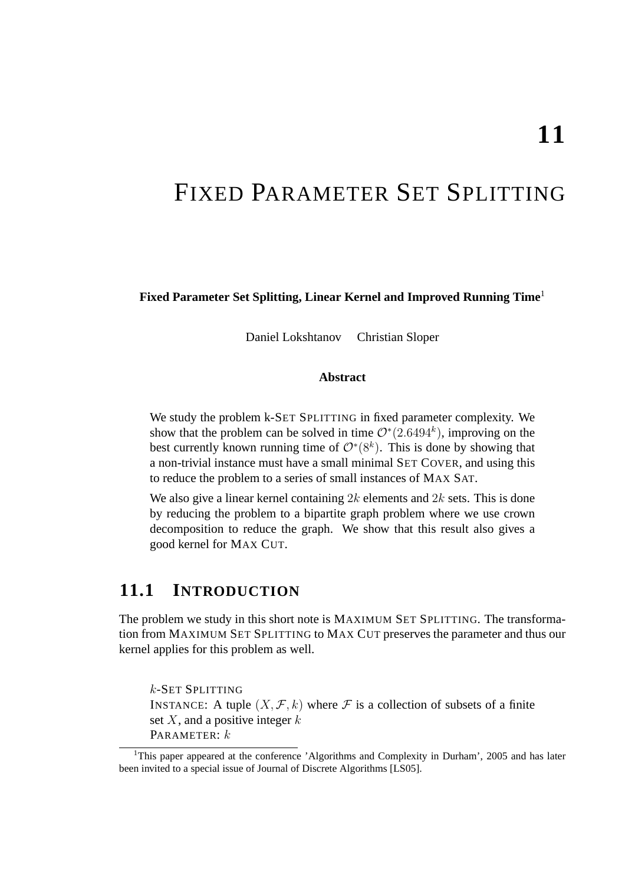# FIXED PARAMETER SET SPLITTING

**Fixed Parameter Set Splitting, Linear Kernel and Improved Running Time**<sup>1</sup>

Daniel Lokshtanov Christian Sloper

#### **Abstract**

We study the problem k-SET SPLITTING in fixed parameter complexity. We show that the problem can be solved in time  $\mathcal{O}^*(2.6494^k)$ , improving on the best currently known running time of  $\mathcal{O}^*(8^k)$ . This is done by showing that a non-trivial instance must have a small minimal SET COVER, and using this to reduce the problem to a series of small instances of MAX SAT.

We also give a linear kernel containing  $2k$  elements and  $2k$  sets. This is done by reducing the problem to a bipartite graph problem where we use crown decomposition to reduce the graph. We show that this result also gives a good kernel for MAX CUT.

# **11.1 INTRODUCTION**

The problem we study in this short note is MAXIMUM SET SPLITTING. The transformation from MAXIMUM SET SPLITTING to MAX CUT preserves the parameter and thus our kernel applies for this problem as well.

k-SET SPLITTING INSTANCE: A tuple  $(X, \mathcal{F}, k)$  where  $\mathcal F$  is a collection of subsets of a finite set  $X$ , and a positive integer  $k$ PARAMETER: k

<sup>&</sup>lt;sup>1</sup>This paper appeared at the conference 'Algorithms and Complexity in Durham', 2005 and has later been invited to a special issue of Journal of Discrete Algorithms [LS05].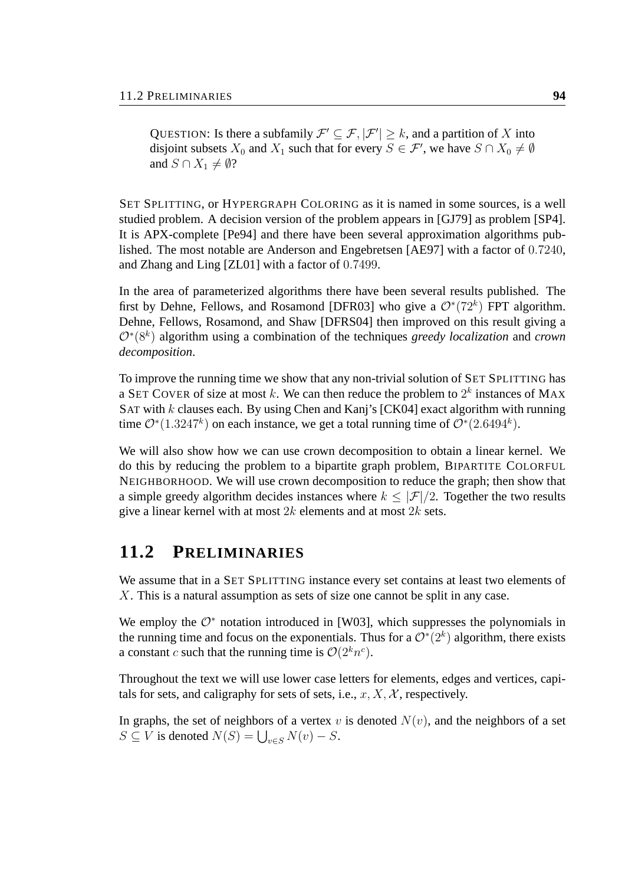QUESTION: Is there a subfamily  $\mathcal{F}' \subseteq \mathcal{F}, |\mathcal{F}'| \geq k$ , and a partition of X into disjoint subsets  $X_0$  and  $X_1$  such that for every  $S \in \mathcal{F}'$ , we have  $S \cap X_0 \neq \emptyset$ and  $S \cap X_1 \neq \emptyset$ ?

SET SPLITTING, or HYPERGRAPH COLORING as it is named in some sources, is a well studied problem. A decision version of the problem appears in [GJ79] as problem [SP4]. It is APX-complete [Pe94] and there have been several approximation algorithms published. The most notable are Anderson and Engebretsen [AE97] with a factor of 0.7240, and Zhang and Ling [ZL01] with a factor of 0.7499.

In the area of parameterized algorithms there have been several results published. The first by Dehne, Fellows, and Rosamond [DFR03] who give a  $\mathcal{O}^*(72^k)$  FPT algorithm. Dehne, Fellows, Rosamond, and Shaw [DFRS04] then improved on this result giving a O<sup>∗</sup> (8<sup>k</sup> ) algorithm using a combination of the techniques *greedy localization* and *crown decomposition*.

To improve the running time we show that any non-trivial solution of SET SPLITTING has a SET COVER of size at most k. We can then reduce the problem to  $2^k$  instances of MAX SAT with  $k$  clauses each. By using Chen and Kanj's [CK04] exact algorithm with running time  $\mathcal{O}^*(1.3247^k)$  on each instance, we get a total running time of  $\mathcal{O}^*(2.6494^k)$ .

We will also show how we can use crown decomposition to obtain a linear kernel. We do this by reducing the problem to a bipartite graph problem, BIPARTITE COLORFUL NEIGHBORHOOD. We will use crown decomposition to reduce the graph; then show that a simple greedy algorithm decides instances where  $k < |\mathcal{F}|/2$ . Together the two results give a linear kernel with at most  $2k$  elements and at most  $2k$  sets.

### **11.2 PRELIMINARIES**

We assume that in a SET SPLITTING instance every set contains at least two elements of X. This is a natural assumption as sets of size one cannot be split in any case.

We employ the  $\mathcal{O}^*$  notation introduced in [W03], which suppresses the polynomials in the running time and focus on the exponentials. Thus for a  $\mathcal{O}^*(2^k)$  algorithm, there exists a constant c such that the running time is  $\mathcal{O}(2^k n^c)$ .

Throughout the text we will use lower case letters for elements, edges and vertices, capitals for sets, and caligraphy for sets of sets, i.e.,  $x, X, \mathcal{X}$ , respectively.

In graphs, the set of neighbors of a vertex v is denoted  $N(v)$ , and the neighbors of a set In graphs, the set of heighbors of a vertex v<br> $S \subseteq V$  is denoted  $N(S) = \bigcup_{v \in S} N(v) - S$ .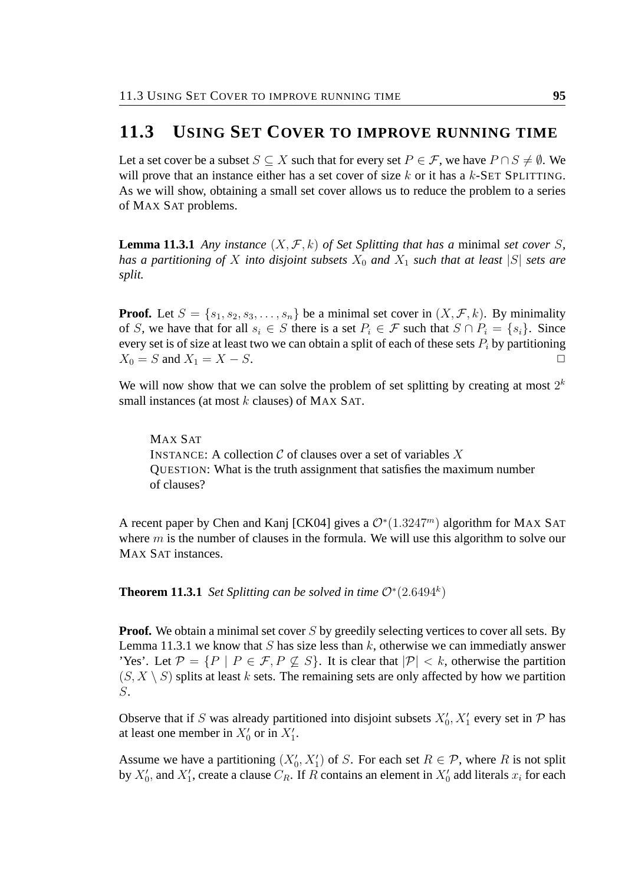### **11.3 USING SET COVER TO IMPROVE RUNNING TIME**

Let a set cover be a subset  $S \subseteq X$  such that for every set  $P \in \mathcal{F}$ , we have  $P \cap S \neq \emptyset$ . We will prove that an instance either has a set cover of size  $k$  or it has a  $k$ -SET SPLITTING. As we will show, obtaining a small set cover allows us to reduce the problem to a series of MAX SAT problems.

**Lemma 11.3.1** *Any instance*  $(X, \mathcal{F}, k)$  *of Set Splitting that has a minimal set cover S*, *has a partitioning of* X *into disjoint subsets*  $X_0$  *and*  $X_1$  *such that at least* |S| *sets are split.*

**Proof.** Let  $S = \{s_1, s_2, s_3, \ldots, s_n\}$  be a minimal set cover in  $(X, \mathcal{F}, k)$ . By minimality of S, we have that for all  $s_i \in S$  there is a set  $P_i \in \mathcal{F}$  such that  $S \cap P_i = \{s_i\}$ . Since every set is of size at least two we can obtain a split of each of these sets  $P_i$  by partitioning  $X_0 = S$  and  $X_1 = X - S$ .

We will now show that we can solve the problem of set splitting by creating at most  $2^k$ small instances (at most  $k$  clauses) of MAX SAT.

MAX SAT INSTANCE: A collection  $C$  of clauses over a set of variables  $X$ QUESTION: What is the truth assignment that satisfies the maximum number of clauses?

A recent paper by Chen and Kanj [CK04] gives a  $\mathcal{O}^*(1.3247^m)$  algorithm for MAX SAT where  $m$  is the number of clauses in the formula. We will use this algorithm to solve our MAX SAT instances.

**Theorem 11.3.1** *Set Splitting can be solved in time*  $\mathcal{O}^*(2.6494^k)$ 

**Proof.** We obtain a minimal set cover S by greedily selecting vertices to cover all sets. By Lemma 11.3.1 we know that S has size less than  $k$ , otherwise we can immediatly answer 'Yes'. Let  $\mathcal{P} = \{P \mid P \in \mathcal{F}, P \not\subseteq S\}$ . It is clear that  $|\mathcal{P}| < k$ , otherwise the partition  $(S, X \setminus S)$  splits at least k sets. The remaining sets are only affected by how we partition S.

Observe that if S was already partitioned into disjoint subsets  $X'_0$ ,  $X'_1$  every set in P has at least one member in  $X'_0$  or in  $X'_1$ .

Assume we have a partitioning  $(X'_0, X'_1)$  of S. For each set  $R \in \mathcal{P}$ , where R is not split by  $X'_0$ , and  $X'_1$ , create a clause  $C_R$ . If R contains an element in  $X'_0$  add literals  $x_i$  for each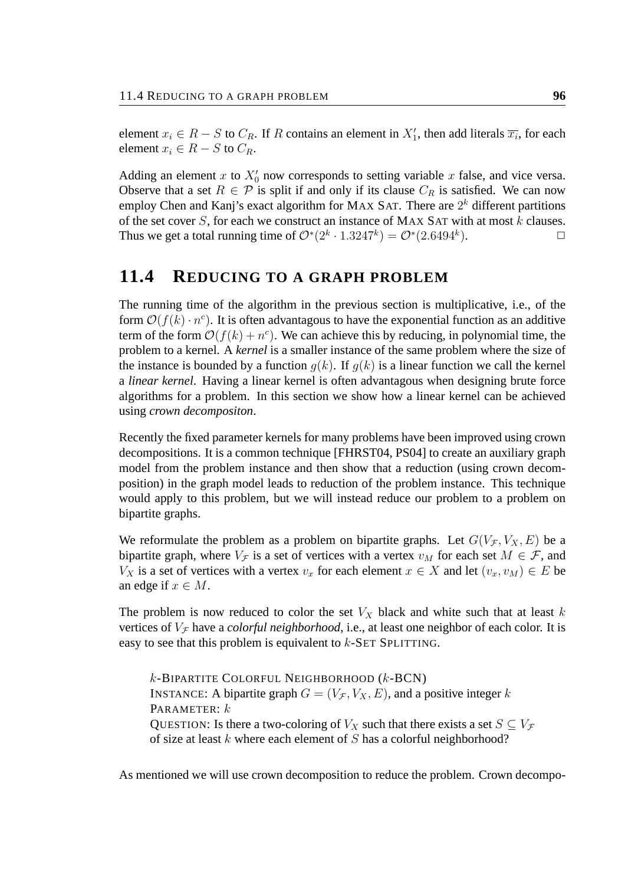element  $x_i \in R - S$  to  $C_R$ . If R contains an element in  $X'_1$ , then add literals  $\overline{x_i}$ , for each element  $x_i \in R - S$  to  $C_R$ .

Adding an element x to  $X'_0$  now corresponds to setting variable x false, and vice versa. Observe that a set  $R \in \mathcal{P}$  is split if and only if its clause  $C_R$  is satisfied. We can now employ Chen and Kanj's exact algorithm for MAX SAT. There are  $2<sup>k</sup>$  different partitions of the set cover  $S$ , for each we construct an instance of MAX SAT with at most  $k$  clauses. Thus we get a total running time of  $\mathcal{O}^*(2^k \cdot 1.3247^k) = \mathcal{O}^*(2.6494^k)$ ).  $\qquad \qquad \Box$ 

### **11.4 REDUCING TO A GRAPH PROBLEM**

The running time of the algorithm in the previous section is multiplicative, i.e., of the form  $\mathcal{O}(f(k) \cdot n^c)$ . It is often advantagous to have the exponential function as an additive term of the form  $\mathcal{O}(f(k) + n^c)$ . We can achieve this by reducing, in polynomial time, the problem to a kernel. A *kernel* is a smaller instance of the same problem where the size of the instance is bounded by a function  $q(k)$ . If  $q(k)$  is a linear function we call the kernel a *linear kernel*. Having a linear kernel is often advantagous when designing brute force algorithms for a problem. In this section we show how a linear kernel can be achieved using *crown decompositon*.

Recently the fixed parameter kernels for many problems have been improved using crown decompositions. It is a common technique [FHRST04, PS04] to create an auxiliary graph model from the problem instance and then show that a reduction (using crown decomposition) in the graph model leads to reduction of the problem instance. This technique would apply to this problem, but we will instead reduce our problem to a problem on bipartite graphs.

We reformulate the problem as a problem on bipartite graphs. Let  $G(V_{\mathcal{F}}, V_X, E)$  be a bipartite graph, where  $V_{\mathcal{F}}$  is a set of vertices with a vertex  $v_M$  for each set  $M \in \mathcal{F}$ , and  $V_X$  is a set of vertices with a vertex  $v_x$  for each element  $x \in X$  and let  $(v_x, v_M) \in E$  be an edge if  $x \in M$ .

The problem is now reduced to color the set  $V_X$  black and white such that at least k vertices of  $V_f$  have a *colorful neighborhood*, i.e., at least one neighbor of each color. It is easy to see that this problem is equivalent to k-SET SPLITTING.

 $k$ -BIPARTITE COLORFUL NEIGHBORHOOD  $(k$ -BCN) INSTANCE: A bipartite graph  $G = (V_{\mathcal{F}}, V_X, E)$ , and a positive integer k PARAMETER:  $k$ QUESTION: Is there a two-coloring of  $V_X$  such that there exists a set  $S \subseteq V_F$ of size at least  $k$  where each element of  $S$  has a colorful neighborhood?

As mentioned we will use crown decomposition to reduce the problem. Crown decompo-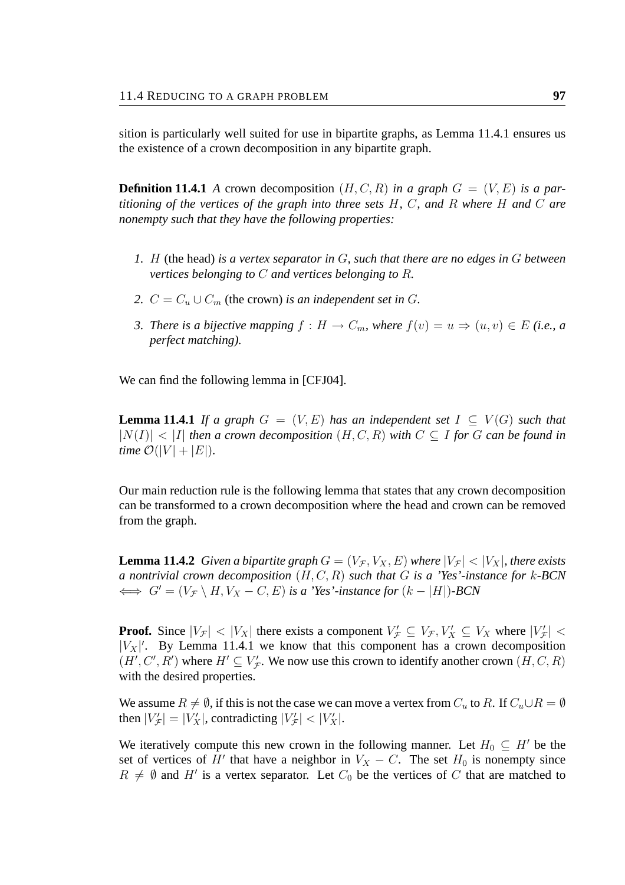sition is particularly well suited for use in bipartite graphs, as Lemma 11.4.1 ensures us the existence of a crown decomposition in any bipartite graph.

**Definition 11.4.1** *A* crown decomposition  $(H, C, R)$  *in a graph*  $G = (V, E)$  *is a partitioning of the vertices of the graph into three sets* H*,* C*, and* R *where* H *and* C *are nonempty such that they have the following properties:*

- *1.* H (the head) *is a vertex separator in* G*, such that there are no edges in* G *between vertices belonging to* C *and vertices belonging to* R*.*
- *2.*  $C = C_u \cup C_m$  (the crown) *is an independent set in G.*
- *3. There is a bijective mapping*  $f : H \to C_m$ , where  $f(v) = u \Rightarrow (u, v) \in E$  *(i.e., a*) *perfect matching).*

We can find the following lemma in [CFJ04].

**Lemma 11.4.1** *If a graph*  $G = (V, E)$  *has an independent set*  $I \subseteq V(G)$  *such that*  $|N(I)| < |I|$  *then a crown decomposition*  $(H, C, R)$  *with*  $C \subseteq I$  *for*  $G$  *can be found in time*  $\mathcal{O}(|V| + |E|)$ .

Our main reduction rule is the following lemma that states that any crown decomposition can be transformed to a crown decomposition where the head and crown can be removed from the graph.

**Lemma 11.4.2** *Given a bipartite graph*  $G = (V_{\mathcal{F}}, V_X, E)$  *where*  $|V_{\mathcal{F}}| < |V_X|$ *, there exists a nontrivial crown decomposition* (H, C, R) *such that* G *is a 'Yes'-instance for* k*-BCN*  $\iff G' = (V_{\mathcal{F}} \setminus H, V_X - C, E)$  *is a 'Yes'-instance for*  $(k - |H|)$ *-BCN* 

**Proof.** Since  $|V_{\mathcal{F}}| < |V_X|$  there exists a component  $V_{\mathcal{F}} \subseteq V_{\mathcal{F}}, V_X \subseteq V_X$  where  $|V_{\mathcal{F}}| <$  $|V_X|'$ . By Lemma 11.4.1 we know that this component has a crown decomposition  $(H', C', R')$  where  $H' \subseteq V'_{\mathcal{F}}$ . We now use this crown to identify another crown  $(H, C, R)$ with the desired properties.

We assume  $R \neq \emptyset$ , if this is not the case we can move a vertex from  $C_u$  to R. If  $C_u \cup R = \emptyset$ then  $|V'_\mathcal{F}| = |V'_X|$ , contradicting  $|V'_\mathcal{F}| < |V'_X|$ .

We iteratively compute this new crown in the following manner. Let  $H_0 \subseteq H'$  be the set of vertices of H' that have a neighbor in  $V_X - C$ . The set  $H_0$  is nonempty since  $R \neq \emptyset$  and H' is a vertex separator. Let  $C_0$  be the vertices of C that are matched to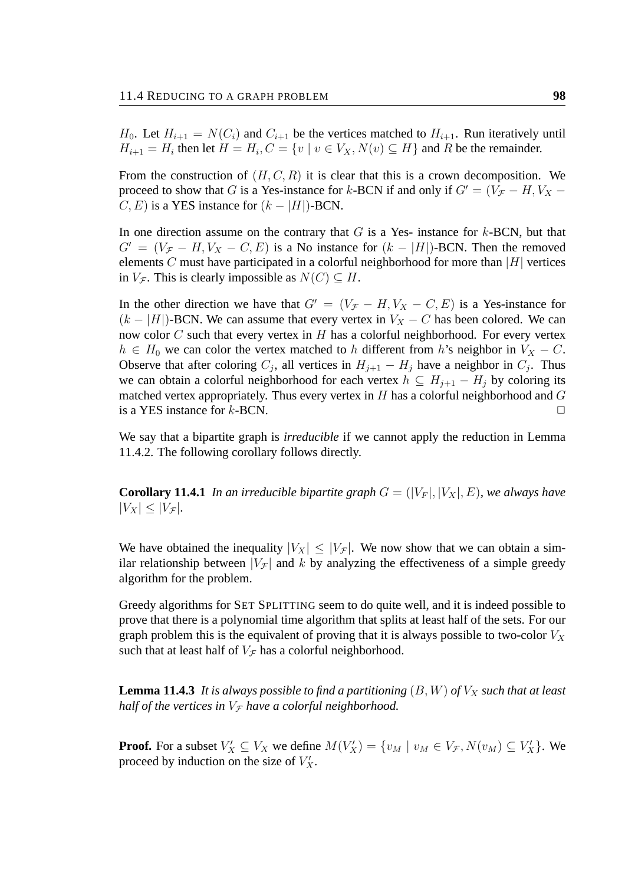$H_0$ . Let  $H_{i+1} = N(C_i)$  and  $C_{i+1}$  be the vertices matched to  $H_{i+1}$ . Run iteratively until  $H_{i+1} = H_i$  then let  $H = H_i$ ,  $C = \{v \mid v \in V_X, N(v) \subseteq H\}$  and R be the remainder.

From the construction of  $(H, C, R)$  it is clear that this is a crown decomposition. We proceed to show that G is a Yes-instance for k-BCN if and only if  $G' = (V_F - H, V_X C, E$ ) is a YES instance for  $(k - |H|)$ -BCN.

In one direction assume on the contrary that  $G$  is a Yes- instance for  $k$ -BCN, but that  $G' = (V_{\mathcal{F}} - H, V_X - C, E)$  is a No instance for  $(k - |H|)$ -BCN. Then the removed elements C must have participated in a colorful neighborhood for more than  $|H|$  vertices in  $V_{\mathcal{F}}$ . This is clearly impossible as  $N(C) \subseteq H$ .

In the other direction we have that  $G' = (V_{\mathcal{F}} - H, V_X - C, E)$  is a Yes-instance for  $(k - |H|)$ -BCN. We can assume that every vertex in  $V_X - C$  has been colored. We can now color  $C$  such that every vertex in  $H$  has a colorful neighborhood. For every vertex  $h \in H_0$  we can color the vertex matched to h different from h's neighbor in  $V_X - C$ . Observe that after coloring  $C_j$ , all vertices in  $H_{j+1} - H_j$  have a neighbor in  $C_j$ . Thus we can obtain a colorful neighborhood for each vertex  $h \subseteq H_{i+1} - H_i$  by coloring its matched vertex appropriately. Thus every vertex in  $H$  has a colorful neighborhood and  $G$ is a YES instance for  $k$ -BCN.  $\Box$ 

We say that a bipartite graph is *irreducible* if we cannot apply the reduction in Lemma 11.4.2. The following corollary follows directly.

**Corollary 11.4.1** *In an irreducible bipartite graph*  $G = (|V_F|, |V_X|, E)$ *, we always have*  $|V_X| \leq |V_{\mathcal{F}}|$ .

We have obtained the inequality  $|V_X| \leq |V_F|$ . We now show that we can obtain a similar relationship between  $|V_{\mathcal{F}}|$  and k by analyzing the effectiveness of a simple greedy algorithm for the problem.

Greedy algorithms for SET SPLITTING seem to do quite well, and it is indeed possible to prove that there is a polynomial time algorithm that splits at least half of the sets. For our graph problem this is the equivalent of proving that it is always possible to two-color  $V_X$ such that at least half of  $V_{\mathcal{F}}$  has a colorful neighborhood.

**Lemma 11.4.3** It is always possible to find a partitioning  $(B, W)$  of  $V_X$  such that at least *half of the vertices in*  $V_f$  *have a colorful neighborhood.* 

**Proof.** For a subset  $V'_X \subseteq V_X$  we define  $M(V'_X) = \{v_M \mid v_M \in V_{\mathcal{F}}, N(v_M) \subseteq V'_X\}$ . We proceed by induction on the size of  $V'_X$ .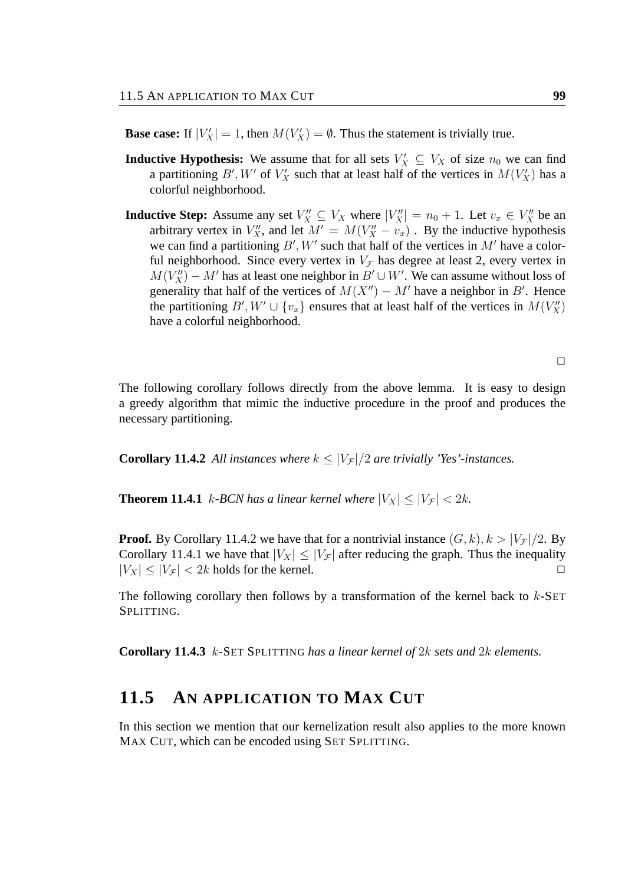**Base case:** If  $|V'_X| = 1$ , then  $M(V'_X) = \emptyset$ . Thus the statement is trivially true.

- **Inductive Hypothesis:** We assume that for all sets  $V'_X \subseteq V_X$  of size  $n_0$  we can find a partitioning B', W' of  $V'_X$  such that at least half of the vertices in  $M(V'_X)$  has a colorful neighborhood.
- **Inductive Step:** Assume any set  $V''_X \subseteq V_X$  where  $|V''_X| = n_0 + 1$ . Let  $v_x \in V''_X$  be an arbitrary vertex in  $V''_X$ , and let  $M' = M(V''_X - v_x)$ . By the inductive hypothesis we can find a partitioning  $B'$ , W' such that half of the vertices in M' have a colorful neighborhood. Since every vertex in  $V_{\mathcal{F}}$  has degree at least 2, every vertex in  $M(V_X'') - M'$  has at least one neighbor in  $B' \cup W'$ . We can assume without loss of generality that half of the vertices of  $M(X'') - M'$  have a neighbor in B'. Hence the partitioning  $B'$ ,  $W' \cup \{v_x\}$  ensures that at least half of the vertices in  $M(V''_X)$ have a colorful neighborhood.

 $\Box$ 

The following corollary follows directly from the above lemma. It is easy to design a greedy algorithm that mimic the inductive procedure in the proof and produces the necessary partitioning.

**Corollary 11.4.2** All instances where  $k \leq |V_F|/2$  are trivially 'Yes'-instances.

**Theorem 11.4.1** k-BCN has a linear kernel where  $|V_X| \leq |V_F| < 2k$ .

**Proof.** By Corollary 11.4.2 we have that for a nontrivial instance  $(G, k)$ ,  $k > |V_\mathcal{F}|/2$ . By Corollary 11.4.1 we have that  $|V_X| \leq |V_F|$  after reducing the graph. Thus the inequality  $|V_X| \le |V_{\mathcal{F}}| < 2k$  holds for the kernel.

The following corollary then follows by a transformation of the kernel back to  $k$ -SET SPLITTING.

**Corollary 11.4.3** k*-*SET SPLITTING *has a linear kernel of* 2k *sets and* 2k *elements.*

### **11.5 AN APPLICATION TO MAX CUT**

In this section we mention that our kernelization result also applies to the more known MAX CUT, which can be encoded using SET SPLITTING.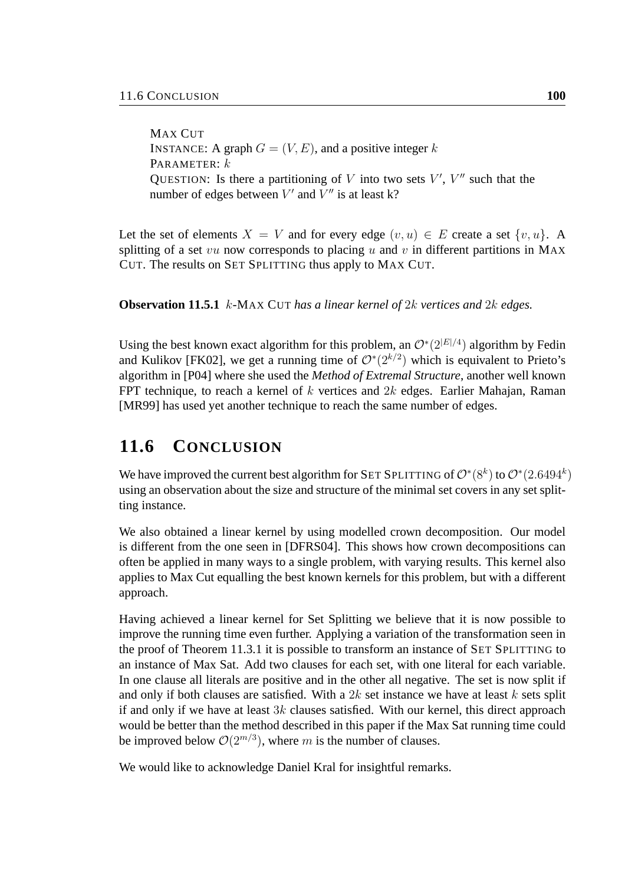MAX CUT INSTANCE: A graph  $G = (V, E)$ , and a positive integer k PARAMETER:  $k$ QUESTION: Is there a partitioning of V into two sets  $V'$ ,  $V''$  such that the number of edges between  $V'$  and  $V''$  is at least k?

Let the set of elements  $X = V$  and for every edge  $(v, u) \in E$  create a set  $\{v, u\}$ . A splitting of a set vu now corresponds to placing u and v in different partitions in MAX CUT. The results on SET SPLITTING thus apply to MAX CUT.

**Observation 11.5.1** k*-*MAX CUT *has a linear kernel of* 2k *vertices and* 2k *edges.*

Using the best known exact algorithm for this problem, an  $O^*(2^{|E|/4})$  algorithm by Fedin and Kulikov [FK02], we get a running time of  $\mathcal{O}^*(2^{k/2})$  which is equivalent to Prieto's algorithm in [P04] where she used the *Method of Extremal Structure*, another well known FPT technique, to reach a kernel of  $k$  vertices and  $2k$  edges. Earlier Mahajan, Raman [MR99] has used yet another technique to reach the same number of edges.

# **11.6 CONCLUSION**

We have improved the current best algorithm for SET SPLITTING of  $\mathcal{O}^*(8^k)$  to  $\mathcal{O}^*(2.6494^k)$ using an observation about the size and structure of the minimal set covers in any set splitting instance.

We also obtained a linear kernel by using modelled crown decomposition. Our model is different from the one seen in [DFRS04]. This shows how crown decompositions can often be applied in many ways to a single problem, with varying results. This kernel also applies to Max Cut equalling the best known kernels for this problem, but with a different approach.

Having achieved a linear kernel for Set Splitting we believe that it is now possible to improve the running time even further. Applying a variation of the transformation seen in the proof of Theorem 11.3.1 it is possible to transform an instance of SET SPLITTING to an instance of Max Sat. Add two clauses for each set, with one literal for each variable. In one clause all literals are positive and in the other all negative. The set is now split if and only if both clauses are satisfied. With a  $2k$  set instance we have at least k sets split if and only if we have at least  $3k$  clauses satisfied. With our kernel, this direct approach would be better than the method described in this paper if the Max Sat running time could be improved below  $\mathcal{O}(2^{m/3})$ , where m is the number of clauses.

We would like to acknowledge Daniel Kral for insightful remarks.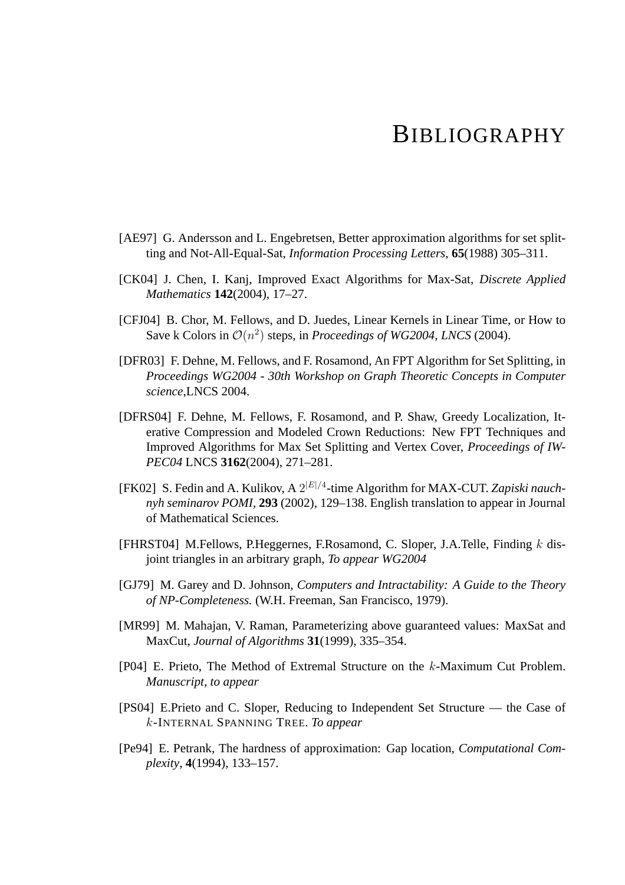# BIBLIOGRAPHY

- [AE97] G. Andersson and L. Engebretsen, Better approximation algorithms for set splitting and Not-All-Equal-Sat, *Information Processing Letters*, **65**(1988) 305–311.
- [CK04] J. Chen, I. Kanj, Improved Exact Algorithms for Max-Sat, *Discrete Applied Mathematics* **142**(2004), 17–27.
- [CFJ04] B. Chor, M. Fellows, and D. Juedes, Linear Kernels in Linear Time, or How to Save k Colors in  $\mathcal{O}(n^2)$  steps, in *Proceedings of WG2004, LNCS* (2004).
- [DFR03] F. Dehne, M. Fellows, and F. Rosamond, An FPT Algorithm for Set Splitting, in *Proceedings WG2004 - 30th Workshop on Graph Theoretic Concepts in Computer science*,LNCS 2004.
- [DFRS04] F. Dehne, M. Fellows, F. Rosamond, and P. Shaw, Greedy Localization, Iterative Compression and Modeled Crown Reductions: New FPT Techniques and Improved Algorithms for Max Set Splitting and Vertex Cover, *Proceedings of IW-PEC04* LNCS **3162**(2004), 271–281.
- [FK02] S. Fedin and A. Kulikov, A  $2^{|E|/4}$ -time Algorithm for MAX-CUT. Zapiski nauch*nyh seminarov POMI*, **293** (2002), 129–138. English translation to appear in Journal of Mathematical Sciences.
- [FHRST04] M.Fellows, P.Heggernes, F.Rosamond, C. Sloper, J.A.Telle, Finding  $k$  disjoint triangles in an arbitrary graph, *To appear WG2004*
- [GJ79] M. Garey and D. Johnson, *Computers and Intractability: A Guide to the Theory of NP-Completeness.* (W.H. Freeman, San Francisco, 1979).
- [MR99] M. Mahajan, V. Raman, Parameterizing above guaranteed values: MaxSat and MaxCut, *Journal of Algorithms* **31**(1999), 335–354.
- [P04] E. Prieto, The Method of Extremal Structure on the k-Maximum Cut Problem. *Manuscript, to appear*
- [PS04] E.Prieto and C. Sloper, Reducing to Independent Set Structure the Case of k-INTERNAL SPANNING TREE. *To appear*
- [Pe94] E. Petrank, The hardness of approximation: Gap location, *Computational Complexity*, **4**(1994), 133–157.